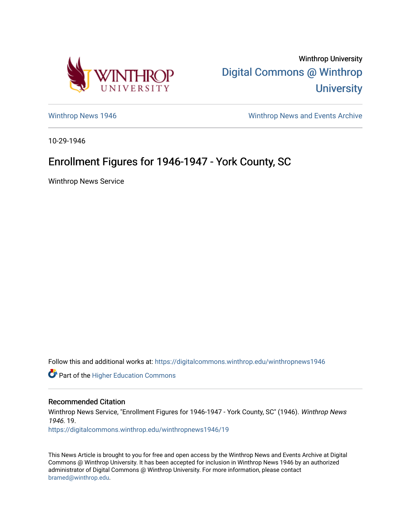

Winthrop University [Digital Commons @ Winthrop](https://digitalcommons.winthrop.edu/)  **University** 

[Winthrop News 1946](https://digitalcommons.winthrop.edu/winthropnews1946) [Winthrop News and Events Archive](https://digitalcommons.winthrop.edu/winthropnewsarchives) 

10-29-1946

## Enrollment Figures for 1946-1947 - York County, SC

Winthrop News Service

Follow this and additional works at: [https://digitalcommons.winthrop.edu/winthropnews1946](https://digitalcommons.winthrop.edu/winthropnews1946?utm_source=digitalcommons.winthrop.edu%2Fwinthropnews1946%2F19&utm_medium=PDF&utm_campaign=PDFCoverPages) 

Part of the [Higher Education Commons](http://network.bepress.com/hgg/discipline/1245?utm_source=digitalcommons.winthrop.edu%2Fwinthropnews1946%2F19&utm_medium=PDF&utm_campaign=PDFCoverPages) 

## Recommended Citation

Winthrop News Service, "Enrollment Figures for 1946-1947 - York County, SC" (1946). Winthrop News 1946. 19.

[https://digitalcommons.winthrop.edu/winthropnews1946/19](https://digitalcommons.winthrop.edu/winthropnews1946/19?utm_source=digitalcommons.winthrop.edu%2Fwinthropnews1946%2F19&utm_medium=PDF&utm_campaign=PDFCoverPages)

This News Article is brought to you for free and open access by the Winthrop News and Events Archive at Digital Commons @ Winthrop University. It has been accepted for inclusion in Winthrop News 1946 by an authorized administrator of Digital Commons @ Winthrop University. For more information, please contact [bramed@winthrop.edu.](mailto:bramed@winthrop.edu)